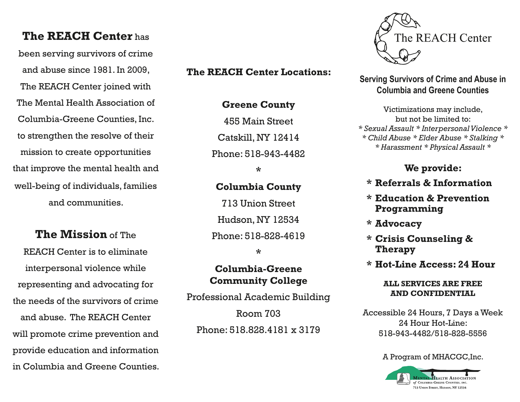# **The REACH Center** has

been serving survivors of crime and abuse since 1981. In 2009, The REACH Center joined with The Mental Health Association of Columbia-Greene Counties, Inc. to strengthen the resolve of their mission to create opportunities that improve the mental health and well-being of individuals, families and communities.

**The Mission** of The

REACH Center is to eliminate interpersonal violence while representing and advocating for the needs of the survivors of crime and abuse. The REACH Center will promote crime prevention and provide education and information in Columbia and Greene Counties.

## **The REACH Center Locations:**

**Greene County** 

455 Main Street

Catskill, NY 12414

Phone: 518-943-4482

**\***

## **Columbia County**

713 Union Street Hudson, NY 12534 Phone: 518-828-4619

**\***

## **Columbia-Greene Community College**

Professional Academic Building Room 703 Phone: 518.828.4181 x 3179



**Serving Survivors of Crime and Abuse in Columbia and Greene Counties**

Victimizations may include, but not be limited to: *\* Sexual Assault \* Interpersonal Violence \* \* Child Abuse \* Elder Abuse \* Stalking \* \* Harassment \* Physical Assault \**

## **We provide:**

- **\* Referrals & Information**
- **\* Education & Prevention Programming**
- **\* Advocacy**
- **\* Crisis Counseling & Therapy**
- **\* Hot-Line Access: 24 Hour**

#### **ALL SERVICES ARE FREE AND CONFIDENTIAL**

Accessible 24 Hours, 7 Days a Week 24 Hour Hot-Line: 518-943-4482/518-828-5556

#### A Program of MHACGC,Inc.